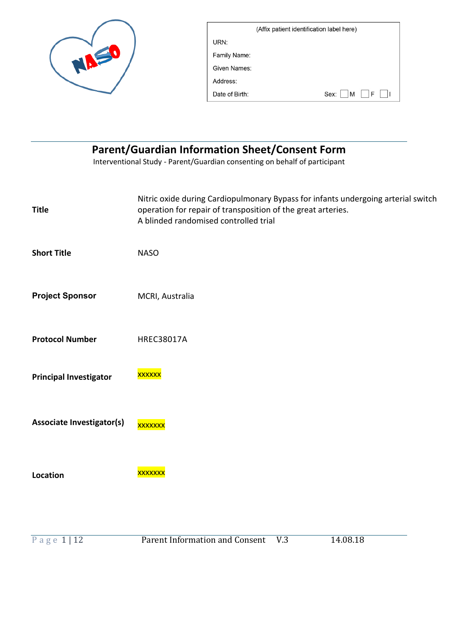| (Affix patient identification label here) |                |  |
|-------------------------------------------|----------------|--|
| URN:                                      |                |  |
| Family Name:                              |                |  |
| Given Names:                              |                |  |
| Address:                                  |                |  |
| Date of Birth:                            | E<br>M<br>Sex: |  |

| <b>Parent/Guardian Information Sheet/Consent Form</b><br>Interventional Study - Parent/Guardian consenting on behalf of participant |                                                                                                                                                                                            |  |  |  |
|-------------------------------------------------------------------------------------------------------------------------------------|--------------------------------------------------------------------------------------------------------------------------------------------------------------------------------------------|--|--|--|
| <b>Title</b>                                                                                                                        | Nitric oxide during Cardiopulmonary Bypass for infants undergoing arterial switch<br>operation for repair of transposition of the great arteries.<br>A blinded randomised controlled trial |  |  |  |
| <b>Short Title</b>                                                                                                                  | <b>NASO</b>                                                                                                                                                                                |  |  |  |
| <b>Project Sponsor</b>                                                                                                              | MCRI, Australia                                                                                                                                                                            |  |  |  |
| <b>Protocol Number</b>                                                                                                              | <b>HREC38017A</b>                                                                                                                                                                          |  |  |  |
| <b>Principal Investigator</b>                                                                                                       | <b>XXXXXX</b>                                                                                                                                                                              |  |  |  |
| <b>Associate Investigator(s)</b>                                                                                                    | <b>XXXXXXX</b>                                                                                                                                                                             |  |  |  |
| Location                                                                                                                            | <u>xxxxxxx</u>                                                                                                                                                                             |  |  |  |
|                                                                                                                                     |                                                                                                                                                                                            |  |  |  |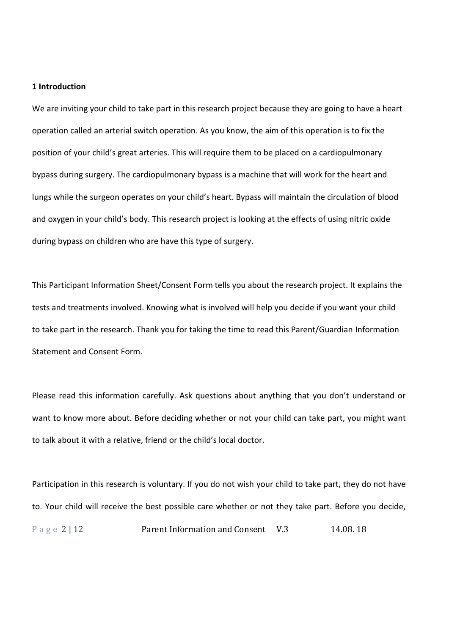#### **1 Introduction**

We are inviting your child to take part in this research project because they are going to have a heart operation called an arterial switch operation. As you know, the aim of this operation is to fix the position of your child's great arteries. This will require them to be placed on a cardiopulmonary bypass during surgery. The cardiopulmonary bypass is a machine that will work for the heart and lungs while the surgeon operates on your child's heart. Bypass will maintain the circulation of blood and oxygen in your child's body. This research project is looking at the effects of using nitric oxide during bypass on children who are have this type of surgery.

This Participant Information Sheet/Consent Form tells you about the research project. It explains the tests and treatments involved. Knowing what is involved will help you decide if you want your child to take part in the research. Thank you for taking the time to read this Parent/Guardian Information Statement and Consent Form.

Please read this information carefully. Ask questions about anything that you don't understand or want to know more about. Before deciding whether or not your child can take part, you might want to talk about it with a relative, friend or the child's local doctor.

Page 2 | 12 **Parent Information and Consent V.3** 14.08. 18 Participation in this research is voluntary. If you do not wish your child to take part, they do not have to. Your child will receive the best possible care whether or not they take part. Before you decide,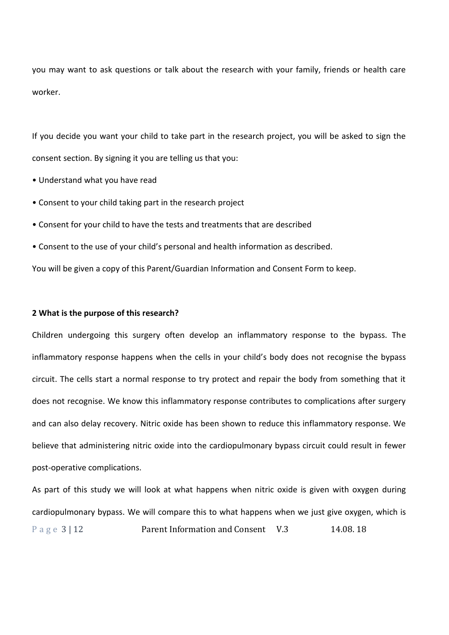you may want to ask questions or talk about the research with your family, friends or health care worker.

If you decide you want your child to take part in the research project, you will be asked to sign the consent section. By signing it you are telling us that you:

- Understand what you have read
- Consent to your child taking part in the research project
- Consent for your child to have the tests and treatments that are described
- Consent to the use of your child's personal and health information as described.

You will be given a copy of this Parent/Guardian Information and Consent Form to keep.

#### **2 What is the purpose of this research?**

Children undergoing this surgery often develop an inflammatory response to the bypass. The inflammatory response happens when the cells in your child's body does not recognise the bypass circuit. The cells start a normal response to try protect and repair the body from something that it does not recognise. We know this inflammatory response contributes to complications after surgery and can also delay recovery. Nitric oxide has been shown to reduce this inflammatory response. We believe that administering nitric oxide into the cardiopulmonary bypass circuit could result in fewer post-operative complications.

Page 3 | 12 **Parent Information and Consent V.3** 14.08. 18 As part of this study we will look at what happens when nitric oxide is given with oxygen during cardiopulmonary bypass. We will compare this to what happens when we just give oxygen, which is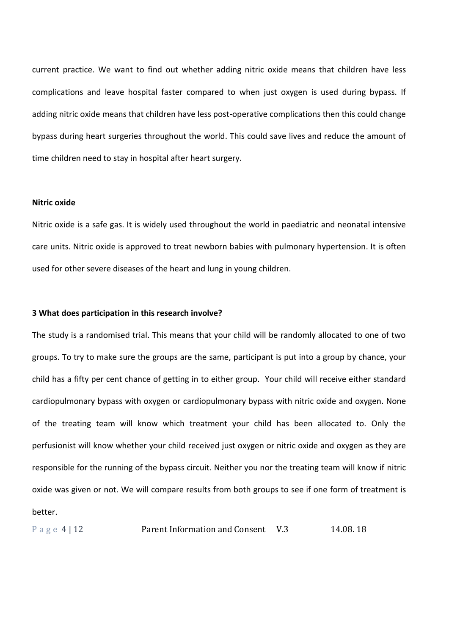current practice. We want to find out whether adding nitric oxide means that children have less complications and leave hospital faster compared to when just oxygen is used during bypass. If adding nitric oxide means that children have less post-operative complications then this could change bypass during heart surgeries throughout the world. This could save lives and reduce the amount of time children need to stay in hospital after heart surgery.

# **Nitric oxide**

Nitric oxide is a safe gas. It is widely used throughout the world in paediatric and neonatal intensive care units. Nitric oxide is approved to treat newborn babies with pulmonary hypertension. It is often used for other severe diseases of the heart and lung in young children.

#### **3 What does participation in this research involve?**

The study is a randomised trial. This means that your child will be randomly allocated to one of two groups. To try to make sure the groups are the same, participant is put into a group by chance, your child has a fifty per cent chance of getting in to either group. Your child will receive either standard cardiopulmonary bypass with oxygen or cardiopulmonary bypass with nitric oxide and oxygen. None of the treating team will know which treatment your child has been allocated to. Only the perfusionist will know whether your child received just oxygen or nitric oxide and oxygen as they are responsible for the running of the bypass circuit. Neither you nor the treating team will know if nitric oxide was given or not. We will compare results from both groups to see if one form of treatment is better.

Page 4 | 12 **Parent Information and Consent V.3** 14.08. 18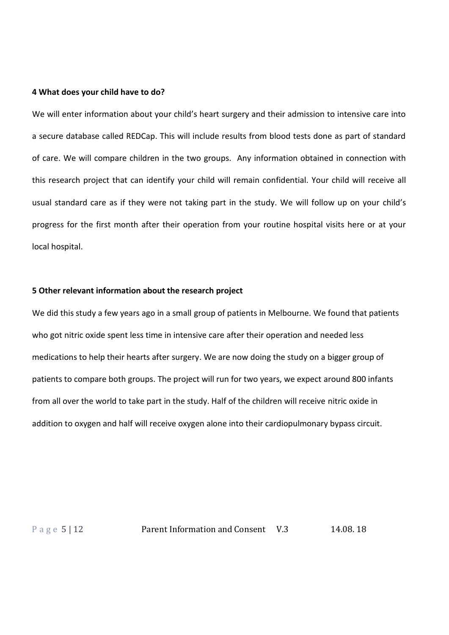#### **4 What does your child have to do?**

We will enter information about your child's heart surgery and their admission to intensive care into a secure database called REDCap. This will include results from blood tests done as part of standard of care. We will compare children in the two groups. Any information obtained in connection with this research project that can identify your child will remain confidential. Your child will receive all usual standard care as if they were not taking part in the study. We will follow up on your child's progress for the first month after their operation from your routine hospital visits here or at your local hospital.

#### **5 Other relevant information about the research project**

We did this study a few years ago in a small group of patients in Melbourne. We found that patients who got nitric oxide spent less time in intensive care after their operation and needed less medications to help their hearts after surgery. We are now doing the study on a bigger group of patients to compare both groups. The project will run for two years, we expect around 800 infants from all over the world to take part in the study. Half of the children will receive nitric oxide in addition to oxygen and half will receive oxygen alone into their cardiopulmonary bypass circuit.

Page 5 | 12 Parent Information and Consent V.3 14.08. 18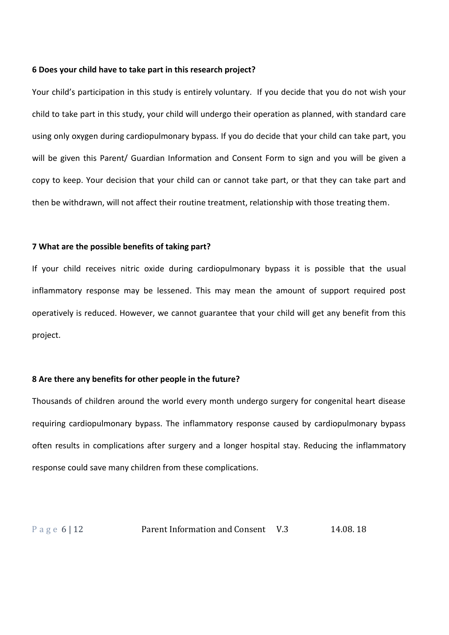#### **6 Does your child have to take part in this research project?**

Your child's participation in this study is entirely voluntary. If you decide that you do not wish your child to take part in this study, your child will undergo their operation as planned, with standard care using only oxygen during cardiopulmonary bypass. If you do decide that your child can take part, you will be given this Parent/ Guardian Information and Consent Form to sign and you will be given a copy to keep. Your decision that your child can or cannot take part, or that they can take part and then be withdrawn, will not affect their routine treatment, relationship with those treating them.

#### **7 What are the possible benefits of taking part?**

If your child receives nitric oxide during cardiopulmonary bypass it is possible that the usual inflammatory response may be lessened. This may mean the amount of support required post operatively is reduced. However, we cannot guarantee that your child will get any benefit from this project.

#### **8 Are there any benefits for other people in the future?**

Thousands of children around the world every month undergo surgery for congenital heart disease requiring cardiopulmonary bypass. The inflammatory response caused by cardiopulmonary bypass often results in complications after surgery and a longer hospital stay. Reducing the inflammatory response could save many children from these complications.

# Page 6 | 12 **Parent Information and Consent V.3** 14.08. 18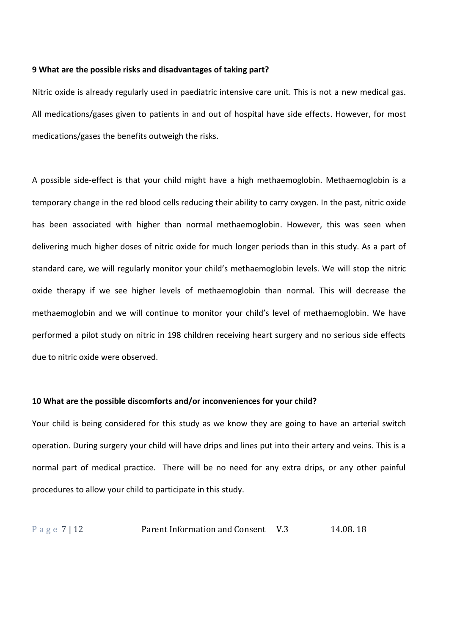#### **9 What are the possible risks and disadvantages of taking part?**

Nitric oxide is already regularly used in paediatric intensive care unit. This is not a new medical gas. All medications/gases given to patients in and out of hospital have side effects. However, for most medications/gases the benefits outweigh the risks.

A possible side-effect is that your child might have a high methaemoglobin. Methaemoglobin is a temporary change in the red blood cells reducing their ability to carry oxygen. In the past, nitric oxide has been associated with higher than normal methaemoglobin. However, this was seen when delivering much higher doses of nitric oxide for much longer periods than in this study. As a part of standard care, we will regularly monitor your child's methaemoglobin levels. We will stop the nitric oxide therapy if we see higher levels of methaemoglobin than normal. This will decrease the methaemoglobin and we will continue to monitor your child's level of methaemoglobin. We have performed a pilot study on nitric in 198 children receiving heart surgery and no serious side effects due to nitric oxide were observed.

#### **10 What are the possible discomforts and/or inconveniences for your child?**

Your child is being considered for this study as we know they are going to have an arterial switch operation. During surgery your child will have drips and lines put into their artery and veins. This is a normal part of medical practice. There will be no need for any extra drips, or any other painful procedures to allow your child to participate in this study.

P a g e 7 | 12 Parent Information and Consent V.3 14.08. 18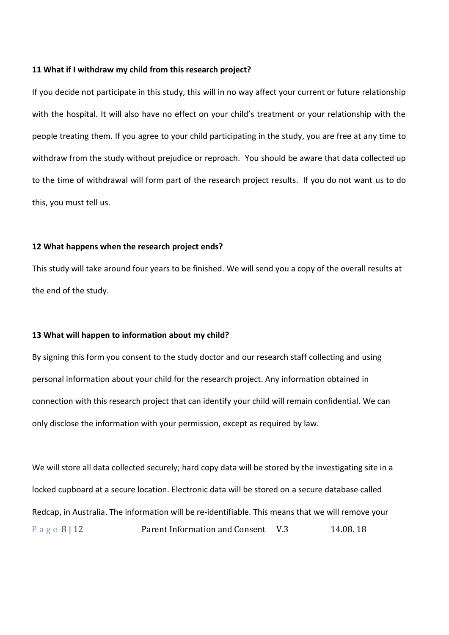#### **11 What if I withdraw my child from this research project?**

If you decide not participate in this study, this will in no way affect your current or future relationship with the hospital. It will also have no effect on your child's treatment or your relationship with the people treating them. If you agree to your child participating in the study, you are free at any time to withdraw from the study without prejudice or reproach. You should be aware that data collected up to the time of withdrawal will form part of the research project results. If you do not want us to do this, you must tell us.

## **12 What happens when the research project ends?**

This study will take around four years to be finished. We will send you a copy of the overall results at the end of the study.

#### **13 What will happen to information about my child?**

By signing this form you consent to the study doctor and our research staff collecting and using personal information about your child for the research project. Any information obtained in connection with this research project that can identify your child will remain confidential. We can only disclose the information with your permission, except as required by law.

Page 8 | 12 **Parent Information and Consent V.3** 14.08. 18 We will store all data collected securely; hard copy data will be stored by the investigating site in a locked cupboard at a secure location. Electronic data will be stored on a secure database called Redcap, in Australia. The information will be re-identifiable. This means that we will remove your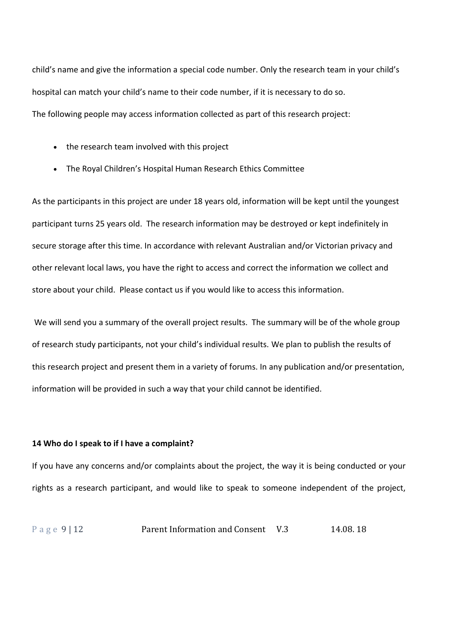child's name and give the information a special code number. Only the research team in your child's hospital can match your child's name to their code number, if it is necessary to do so. The following people may access information collected as part of this research project:

- the research team involved with this project
- The Royal Children's Hospital Human Research Ethics Committee

As the participants in this project are under 18 years old, information will be kept until the youngest participant turns 25 years old. The research information may be destroyed or kept indefinitely in secure storage after this time. In accordance with relevant Australian and/or Victorian privacy and other relevant local laws, you have the right to access and correct the information we collect and store about your child. Please contact us if you would like to access this information.

We will send you a summary of the overall project results. The summary will be of the whole group of research study participants, not your child's individual results. We plan to publish the results of this research project and present them in a variety of forums. In any publication and/or presentation, information will be provided in such a way that your child cannot be identified.

#### **14 Who do I speak to if I have a complaint?**

If you have any concerns and/or complaints about the project, the way it is being conducted or your rights as a research participant, and would like to speak to someone independent of the project,

```
Page 9 | 12 Parent Information and Consent V.3 14.08. 18
```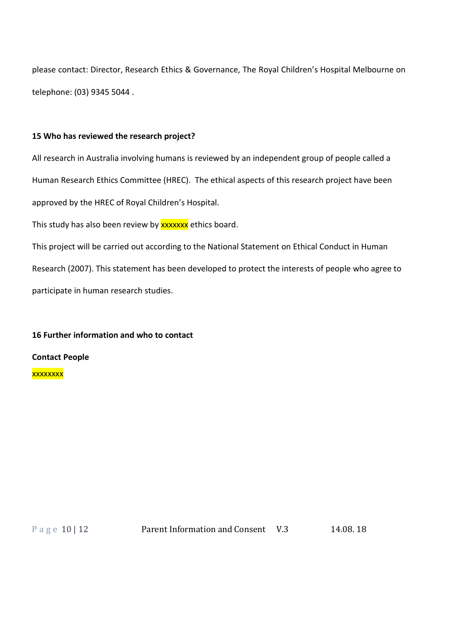please contact: Director, Research Ethics & Governance, The Royal Children's Hospital Melbourne on telephone: (03) 9345 5044 .

# **15 Who has reviewed the research project?**

All research in Australia involving humans is reviewed by an independent group of people called a Human Research Ethics Committee (HREC). The ethical aspects of this research project have been approved by the HREC of Royal Children's Hospital.

This study has also been review by **xxxxxx** ethics board.

This project will be carried out according to the National Statement on Ethical Conduct in Human Research (2007). This statement has been developed to protect the interests of people who agree to participate in human research studies.

# **16 Further information and who to contact**

# **Contact People**

xxxxxxxx

Page 10 | 12 **Parent Information and Consent V.3** 14.08. 18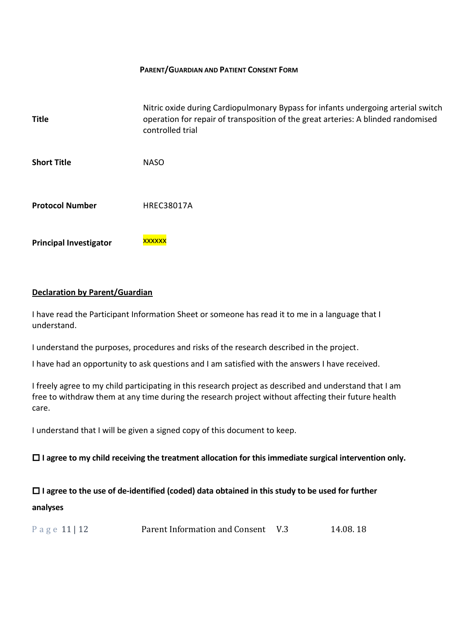# **PARENT/GUARDIAN AND PATIENT CONSENT FORM**

| <b>Title</b>                  | Nitric oxide during Cardiopulmonary Bypass for infants undergoing arterial switch<br>operation for repair of transposition of the great arteries: A blinded randomised<br>controlled trial |
|-------------------------------|--------------------------------------------------------------------------------------------------------------------------------------------------------------------------------------------|
| <b>Short Title</b>            | <b>NASO</b>                                                                                                                                                                                |
| <b>Protocol Number</b>        | <b>HREC38017A</b>                                                                                                                                                                          |
| <b>Principal Investigator</b> | xxxxxx                                                                                                                                                                                     |

# **Declaration by Parent/Guardian**

I have read the Participant Information Sheet or someone has read it to me in a language that I understand.

I understand the purposes, procedures and risks of the research described in the project.

I have had an opportunity to ask questions and I am satisfied with the answers I have received.

I freely agree to my child participating in this research project as described and understand that I am free to withdraw them at any time during the research project without affecting their future health care.

I understand that I will be given a signed copy of this document to keep.

**I agree to my child receiving the treatment allocation for this immediate surgical intervention only.**

# **I agree to the use of de-identified (coded) data obtained in this study to be used for further analyses**

| Page 11   12 | Parent Information and Consent V.3 |  | 14.08.18 |
|--------------|------------------------------------|--|----------|
|--------------|------------------------------------|--|----------|